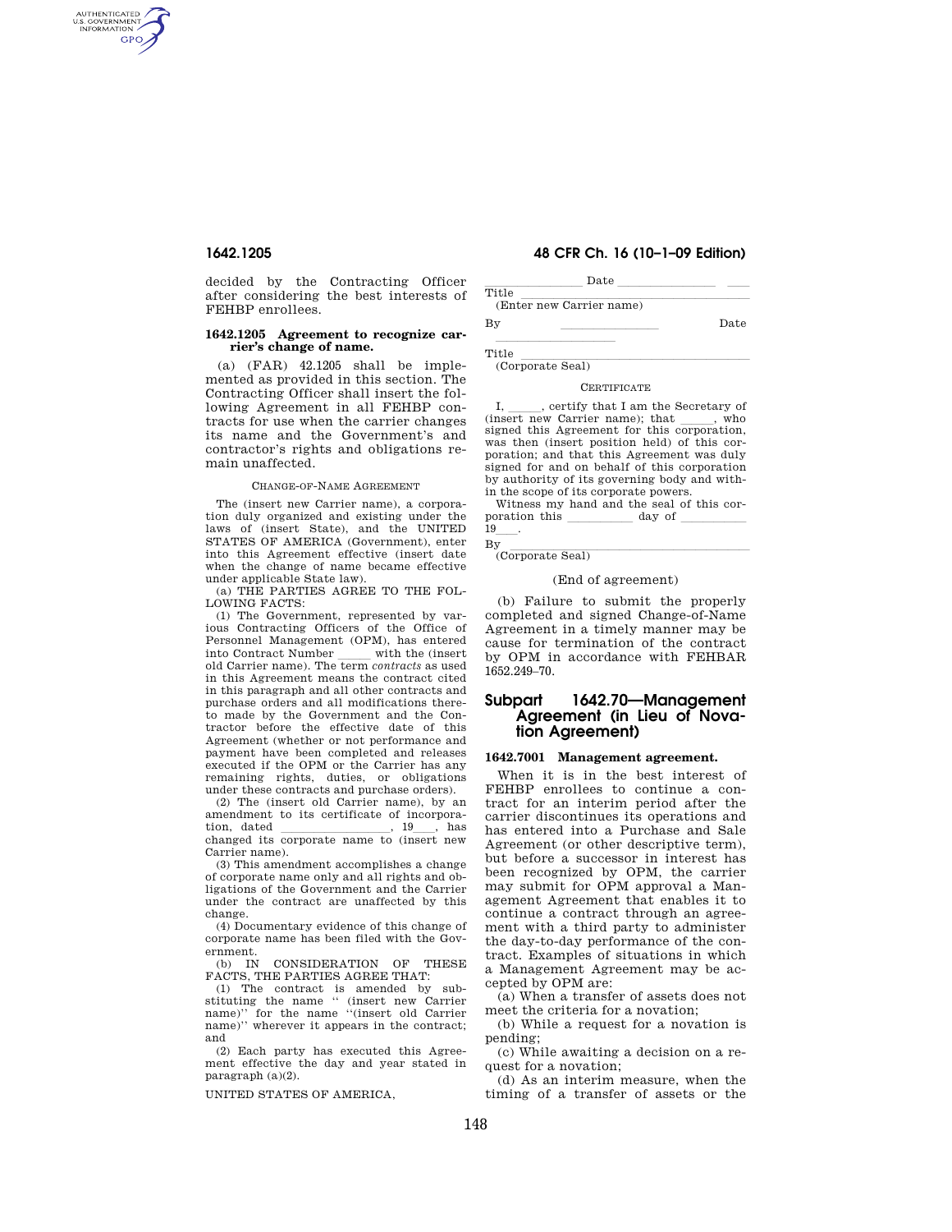AUTHENTICATED<br>U.S. GOVERNMENT<br>INFORMATION **GPO** 

> decided by the Contracting Officer after considering the best interests of FEHBP enrollees.

#### **1642.1205 Agreement to recognize carrier's change of name.**

(a) (FAR) 42.1205 shall be implemented as provided in this section. The Contracting Officer shall insert the following Agreement in all FEHBP contracts for use when the carrier changes its name and the Government's and contractor's rights and obligations remain unaffected.

## CHANGE-OF-NAME AGREEMENT

The (insert new Carrier name), a corporation duly organized and existing under the laws of (insert State), and the UNITED STATES OF AMERICA (Government), enter into this Agreement effective (insert date when the change of name became effective under applicable State law).

(a) THE PARTIES AGREE TO THE FOL-LOWING FACTS:

(1) The Government, represented by various Contracting Officers of the Office of Personnel Management (OPM), has entered into Contract Number lll with the (insert old Carrier name). The term *contracts* as used in this Agreement means the contract cited in this paragraph and all other contracts and purchase orders and all modifications thereto made by the Government and the Contractor before the effective date of this Agreement (whether or not performance and payment have been completed and releases executed if the OPM or the Carrier has any remaining rights, duties, or obligations under these contracts and purchase orders).

(2) The (insert old Carrier name), by an amendment to its certificate of incorporation, dated \_\_\_\_\_\_\_, 19\_\_, has changed its corporate name to (insert new Carrier name).

(3) This amendment accomplishes a change of corporate name only and all rights and obligations of the Government and the Carrier under the contract are unaffected by this change.

(4) Documentary evidence of this change of corporate name has been filed with the Gov-

ernment.<br>(b)  $IN$ CONSIDERATION OF THESE FACTS, THE PARTIES AGREE THAT:

(1) The contract is amended by substituting the name '' (insert new Carrier name)'' for the name ''(insert old Carrier name)'' wherever it appears in the contract; and

(2) Each party has executed this Agreement effective the day and year stated in paragraph (a)(2).

UNITED STATES OF AMERICA,

## **1642.1205 48 CFR Ch. 16 (10–1–09 Edition)**

lllllllll Date lllllllll ll Title<br>(Enter new Carrier name)

By Date

lla lla se a lla se a lla se a lla se a lla se a lla se a lla se a lla se a lla se a lla

Title<br>(Corporate Seal)

#### CERTIFICATE

I,  $\frac{\ }{\ }$ , certify that I am the Secretary of (insert new Carrier name); that  $\frac{\ }{\ }$ , who signed this Agreement for this corporation signed this Agreement for this corporation, was then (insert position held) of this corporation; and that this Agreement was duly signed for and on behalf of this corporation by authority of its governing body and within the scope of its corporate powers.

Witness my hand and the seal of this cor-<br>pration this day of poration this  $\frac{19}{\text{By}}$ .

By llet corporate Seal)

### (End of agreement)

(b) Failure to submit the properly completed and signed Change-of-Name Agreement in a timely manner may be cause for termination of the contract by OPM in accordance with FEHBAR 1652.249–70.

# **Subpart 1642.70—Management Agreement (in Lieu of Novation Agreement)**

# **1642.7001 Management agreement.**

When it is in the best interest of FEHBP enrollees to continue a contract for an interim period after the carrier discontinues its operations and has entered into a Purchase and Sale Agreement (or other descriptive term), but before a successor in interest has been recognized by OPM, the carrier may submit for OPM approval a Management Agreement that enables it to continue a contract through an agreement with a third party to administer the day-to-day performance of the contract. Examples of situations in which a Management Agreement may be accepted by OPM are:

(a) When a transfer of assets does not meet the criteria for a novation;

(b) While a request for a novation is pending;

(c) While awaiting a decision on a request for a novation;

(d) As an interim measure, when the timing of a transfer of assets or the